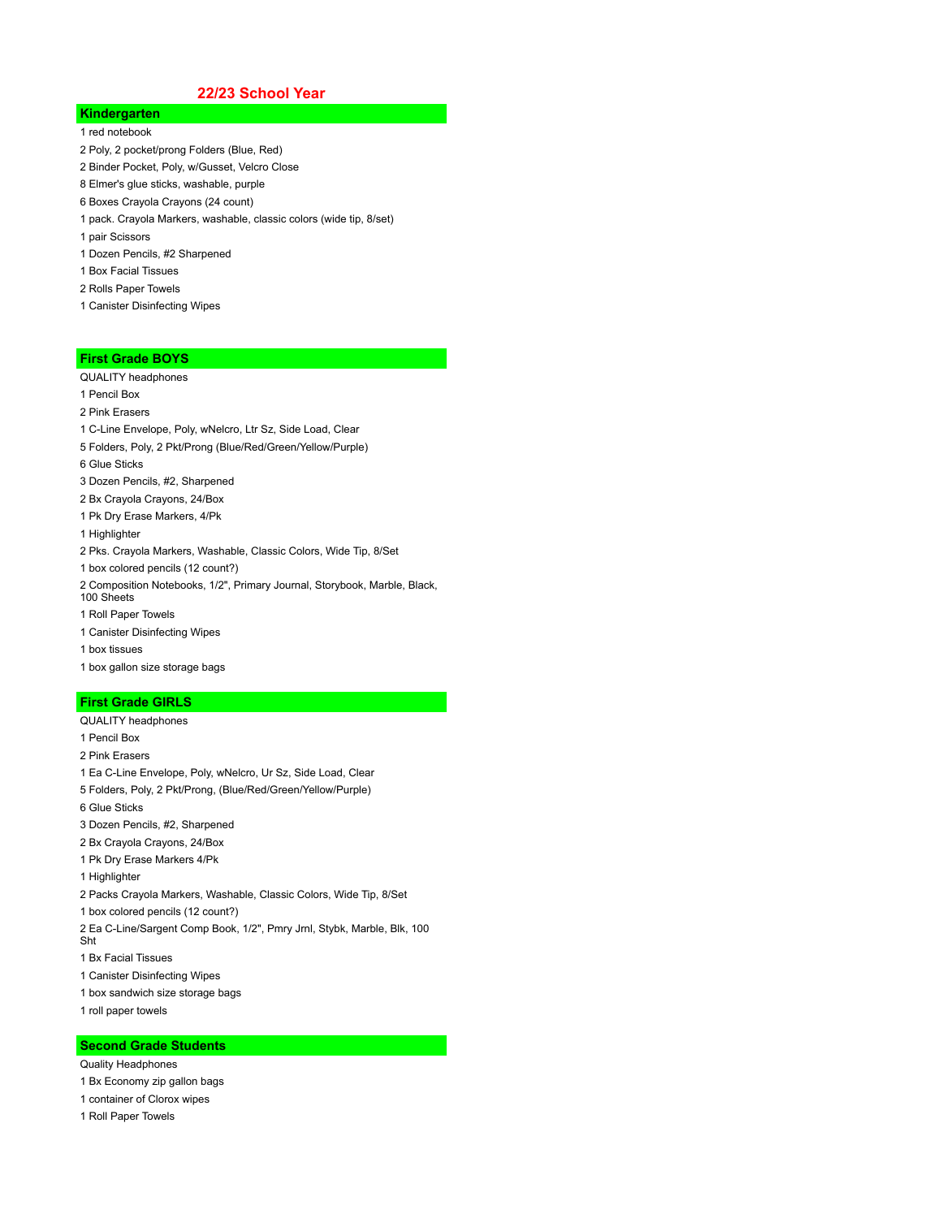## **22/23 School Year**

# **Kindergarten**

- 1 red notebook
- 2 Poly, 2 pocket/prong Folders (Blue, Red)
- 2 Binder Pocket, Poly, w/Gusset, Velcro Close
- 8 Elmer's glue sticks, washable, purple
- 6 Boxes Crayola Crayons (24 count)
- 1 pack. Crayola Markers, washable, classic colors (wide tip, 8/set)
- 1 pair Scissors
- 1 Dozen Pencils, #2 Sharpened
- 1 Box Facial Tissues
- 2 Rolls Paper Towels
- 1 Canister Disinfecting Wipes

#### **First Grade BOYS**

- QUALITY headphones
- 1 Pencil Box
- 2 Pink Erasers
- 1 C-Line Envelope, Poly, wNelcro, Ltr Sz, Side Load, Clear
- 5 Folders, Poly, 2 Pkt/Prong (Blue/Red/Green/Yellow/Purple)
- 6 Glue Sticks
- 3 Dozen Pencils, #2, Sharpened
- 2 Bx Crayola Crayons, 24/Box
- 1 Pk Dry Erase Markers, 4/Pk
- 1 Highlighter
- 2 Pks. Crayola Markers, Washable, Classic Colors, Wide Tip, 8/Set
- 1 box colored pencils (12 count?)
- 2 Composition Notebooks, 1/2", Primary Journal, Storybook, Marble, Black, 100 Sheets
- 1 Roll Paper Towels
- 1 Canister Disinfecting Wipes
- 1 box tissues
- 1 box gallon size storage bags

#### **First Grade GIRLS**

- QUALITY headphones
- 1 Pencil Box
- 2 Pink Erasers
- 1 Ea C-Line Envelope, Poly, wNelcro, Ur Sz, Side Load, Clear
- 5 Folders, Poly, 2 Pkt/Prong, (Blue/Red/Green/Yellow/Purple)
- 6 Glue Sticks
- 3 Dozen Pencils, #2, Sharpened
- 2 Bx Crayola Crayons, 24/Box
- 1 Pk Dry Erase Markers 4/Pk
- 1 Highlighter
- 2 Packs Crayola Markers, Washable, Classic Colors, Wide Tip, 8/Set
- 1 box colored pencils (12 count?)
- 2 Ea C-Line/Sargent Comp Book, 1/2", Pmry Jrnl, Stybk, Marble, Blk, 100
- Sht
- 1 Bx Facial Tissues
- 1 Canister Disinfecting Wipes
- 1 box sandwich size storage bags
- 1 roll paper towels

#### **Second Grade Students**

- Quality Headphones
- 1 Bx Economy zip gallon bags
- 1 container of Clorox wipes
- 1 Roll Paper Towels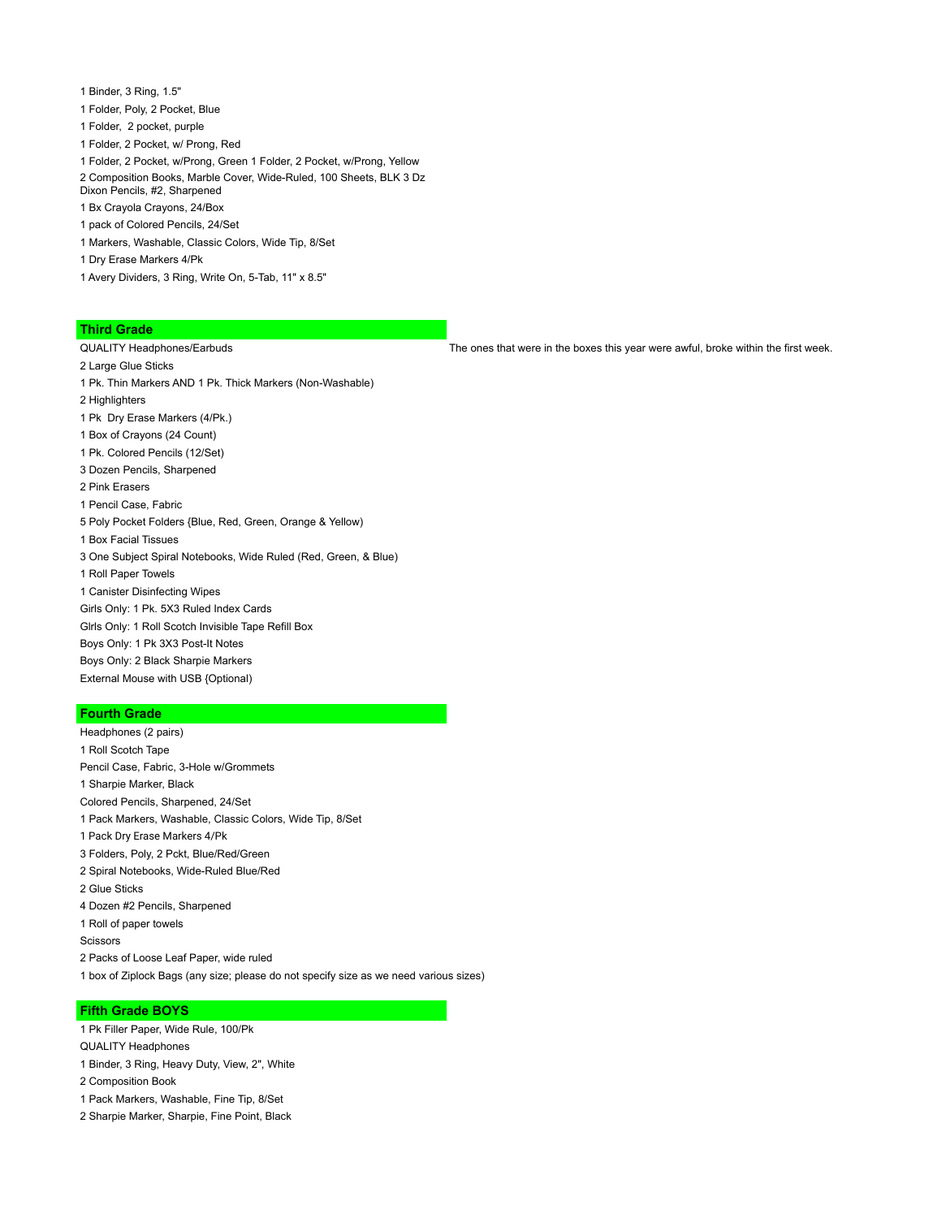- 1 Binder, 3 Ring, 1.5"
- 1 Folder, Poly, 2 Pocket, Blue
- 1 Folder, 2 pocket, purple
- 1 Folder, 2 Pocket, w/ Prong, Red
- 1 Folder, 2 Pocket, w/Prong, Green 1 Folder, 2 Pocket, w/Prong, Yellow
- 2 Composition Books, Marble Cover, Wide-Ruled, 100 Sheets, BLK 3 Dz Dixon Pencils, #2, Sharpened
- 1 Bx Crayola Crayons, 24/Box
- 1 pack of Colored Pencils, 24/Set
- 1 Markers, Washable, Classic Colors, Wide Tip, 8/Set
- 1 Dry Erase Markers 4/Pk
- 1 Avery Dividers, 3 Ring, Write On, 5-Tab, 11" x 8.5"

#### **Third Grade**

- 2 Large Glue Sticks
- 1 Pk. Thin Markers AND 1 Pk. Thick Markers (Non-Washable)
- 2 Highlighters
- 1 Pk Dry Erase Markers (4/Pk.)
- 1 Box of Crayons (24 Count)
- 1 Pk. Colored Pencils (12/Set)
- 3 Dozen Pencils, Sharpened
- 2 Pink Erasers
- 1 Pencil Case, Fabric
- 5 Poly Pocket Folders {Blue, Red, Green, Orange & Yellow)
- 1 Box Facial Tissues
- 3 One Subject Spiral Notebooks, Wide Ruled (Red, Green, & Blue)
- 1 Roll Paper Towels
- 1 Canister Disinfecting Wipes
- Girls Only: 1 Pk. 5X3 Ruled Index Cards
- Glrls Only: 1 Roll Scotch Invisible Tape Refill Box
- Boys Only: 1 Pk 3X3 Post-It Notes
- Boys Only: 2 Black Sharpie Markers
- External Mouse with USB {Optional)

### **Fourth Grade**

Headphones (2 pairs) 1 Roll Scotch Tape Pencil Case, Fabric, 3-Hole w/Grommets 1 Sharpie Marker, Black Colored Pencils, Sharpened, 24/Set 1 Pack Markers, Washable, Classic Colors, Wide Tip, 8/Set 1 Pack Dry Erase Markers 4/Pk 3 Folders, Poly, 2 Pckt, Blue/Red/Green 2 Spiral Notebooks, Wide-Ruled Blue/Red 2 Glue Sticks 4 Dozen #2 Pencils, Sharpened 1 Roll of paper towels **Scissors** 2 Packs of Loose Leaf Paper, wide ruled 1 box of Ziplock Bags (any size; please do not specify size as we need various sizes)

#### **Fifth Grade BOYS**

- 1 Pk Filler Paper, Wide Rule, 100/Pk QUALITY Headphones
- 1 Binder, 3 Ring, Heavy Duty, View, 2", White
- 2 Composition Book
- 1 Pack Markers, Washable, Fine Tip, 8/Set
- 2 Sharpie Marker, Sharpie, Fine Point, Black

QUALITY Headphones/Earbuds The ones that were in the boxes this year were awful, broke within the first week.